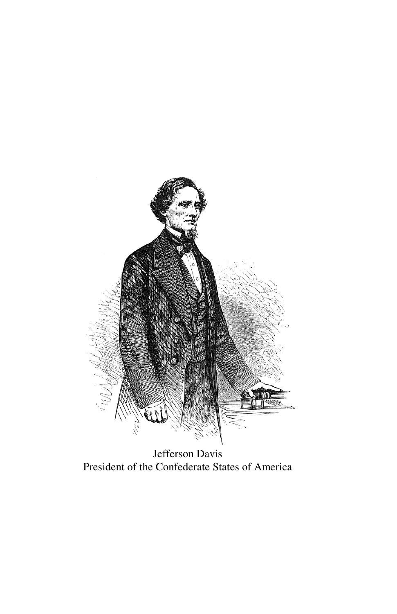

Jefferson Davis President of the Confederate States of America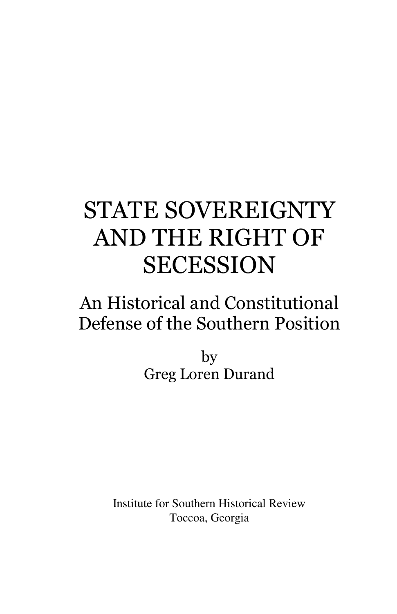## STATE SOVEREIGNTY AND THE RIGHT OF SECESSION

## An Historical and Constitutional Defense of the Southern Position

by Greg Loren Durand

Institute for Southern Historical Review Toccoa, Georgia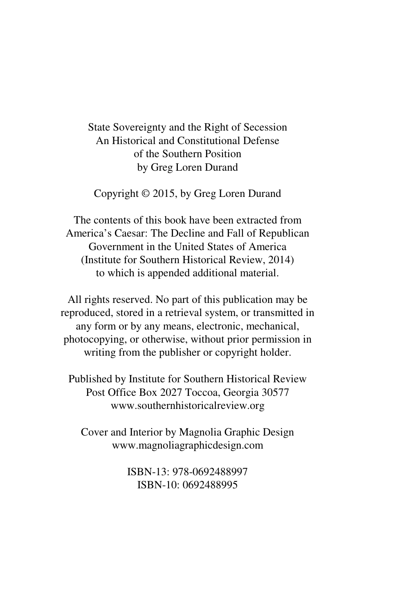State Sovereignty and the Right of Secession An Historical and Constitutional Defense of the Southern Position by Greg Loren Durand

Copyright © 2015, by Greg Loren Durand

The contents of this book have been extracted from America's Caesar: The Decline and Fall of Republican Government in the United States of America (Institute for Southern Historical Review, 2014) to which is appended additional material.

All rights reserved. No part of this publication may be reproduced, stored in a retrieval system, or transmitted in any form or by any means, electronic, mechanical, photocopying, or otherwise, without prior permission in writing from the publisher or copyright holder.

Published by Institute for Southern Historical Review Post Office Box 2027 Toccoa, Georgia 30577 www.southernhistoricalreview.org

Cover and Interior by Magnolia Graphic Design www.magnoliagraphicdesign.com

> ISBN-13: 978-0692488997 ISBN-10: 0692488995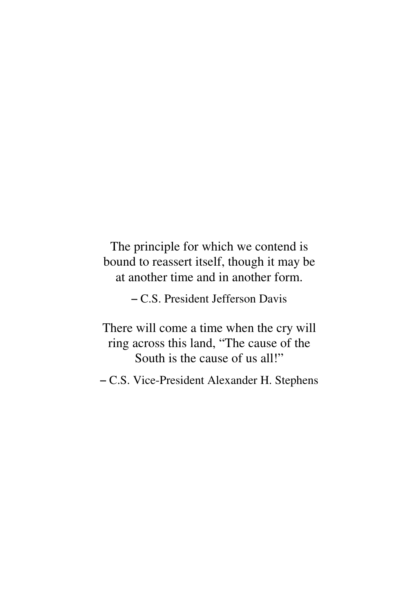The principle for which we contend is bound to reassert itself, though it may be at another time and in another form.

- C.S. President Jefferson Davis

There will come a time when the cry will ring across this land, "The cause of the South is the cause of us all!"

- C.S. Vice-President Alexander H. Stephens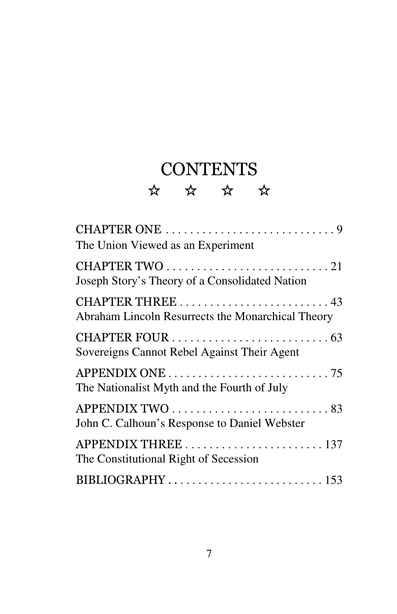## CONTENTS ☆ ☆ ☆ ☆

| CHAPTER ONE 9<br>The Union Viewed as an Experiment                     |
|------------------------------------------------------------------------|
| Joseph Story's Theory of a Consolidated Nation                         |
| CHAPTER THREE  43<br>Abraham Lincoln Resurrects the Monarchical Theory |
| Sovereigns Cannot Rebel Against Their Agent                            |
| The Nationalist Myth and the Fourth of July                            |
| John C. Calhoun's Response to Daniel Webster                           |
| The Constitutional Right of Secession                                  |
|                                                                        |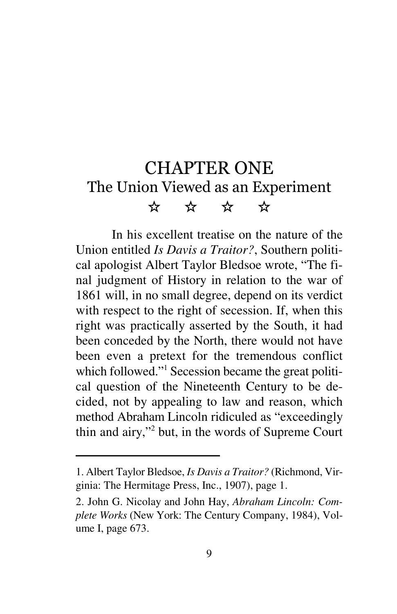## CHAPTER ONE The Union Viewed as an Experiment  $\begin{array}{ccc} \star\star & \star\star & \star\star \end{array}$

In his excellent treatise on the nature of the Union entitled *Is Davis a Traitor?*, Southern political apologist Albert Taylor Bledsoe wrote, "The final judgment of History in relation to the war of 1861 will, in no small degree, depend on its verdict with respect to the right of secession. If, when this right was practically asserted by the South, it had been conceded by the North, there would not have been even a pretext for the tremendous conflict which followed."<sup>1</sup> Secession became the great political question of the Nineteenth Century to be decided, not by appealing to law and reason, which method Abraham Lincoln ridiculed as "exceedingly thin and airy,"<sup>2</sup> but, in the words of Supreme Court

<sup>1.</sup> Albert Taylor Bledsoe, *Is Davis a Traitor?* (Richmond, Virginia: The Hermitage Press, Inc., 1907), page 1.

<sup>2.</sup> John G. Nicolay and John Hay, *Abraham Lincoln: Complete Works* (New York: The Century Company, 1984), Volume I, page 673.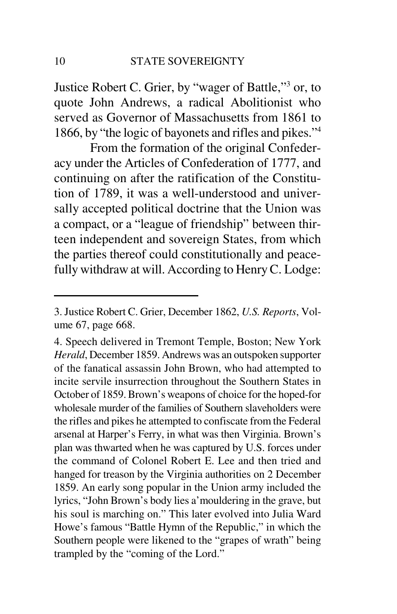Justice Robert C. Grier, by "wager of Battle,"<sup>3</sup> or, to quote John Andrews, a radical Abolitionist who served as Governor of Massachusetts from 1861 to 1866, by "the logic of bayonets and rifles and pikes."<sup>4</sup>

From the formation of the original Confederacy under the Articles of Confederation of 1777, and continuing on after the ratification of the Constitution of 1789, it was a well-understood and universally accepted political doctrine that the Union was a compact, or a "league of friendship" between thirteen independent and sovereign States, from which the parties thereof could constitutionally and peacefully withdraw at will. According to Henry C. Lodge:

<sup>3.</sup> Justice Robert C. Grier, December 1862, *U.S. Reports*, Volume 67, page 668.

<sup>4.</sup> Speech delivered in Tremont Temple, Boston; New York *Herald*, December 1859. Andrews was an outspoken supporter of the fanatical assassin John Brown, who had attempted to incite servile insurrection throughout the Southern States in October of 1859. Brown's weapons of choice for the hoped-for wholesale murder of the families of Southern slaveholders were the rifles and pikes he attempted to confiscate from the Federal arsenal at Harper's Ferry, in what was then Virginia. Brown's plan was thwarted when he was captured by U.S. forces under the command of Colonel Robert E. Lee and then tried and hanged for treason by the Virginia authorities on 2 December 1859. An early song popular in the Union army included the lyrics, "John Brown's body lies a'mouldering in the grave, but his soul is marching on." This later evolved into Julia Ward Howe's famous "Battle Hymn of the Republic," in which the Southern people were likened to the "grapes of wrath" being trampled by the "coming of the Lord."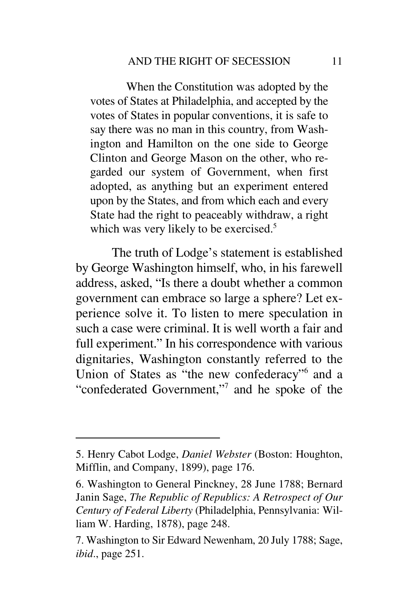When the Constitution was adopted by the votes of States at Philadelphia, and accepted by the votes of States in popular conventions, it is safe to say there was no man in this country, from Washington and Hamilton on the one side to George Clinton and George Mason on the other, who regarded our system of Government, when first adopted, as anything but an experiment entered upon by the States, and from which each and every State had the right to peaceably withdraw, a right which was very likely to be exercised.<sup>5</sup>

The truth of Lodge's statement is established by George Washington himself, who, in his farewell address, asked, "Is there a doubt whether a common government can embrace so large a sphere? Let experience solve it. To listen to mere speculation in such a case were criminal. It is well worth a fair and full experiment." In his correspondence with various dignitaries, Washington constantly referred to the Union of States as "the new confederacy" and a "confederated Government,"<sup>7</sup> and he spoke of the

<sup>5.</sup> Henry Cabot Lodge, *Daniel Webster* (Boston: Houghton, Mifflin, and Company, 1899), page 176.

<sup>6.</sup> Washington to General Pinckney, 28 June 1788; Bernard Janin Sage, *The Republic of Republics: A Retrospect of Our Century of Federal Liberty* (Philadelphia, Pennsylvania: William W. Harding, 1878), page 248.

<sup>7.</sup> Washington to Sir Edward Newenham, 20 July 1788; Sage, *ibid*., page 251.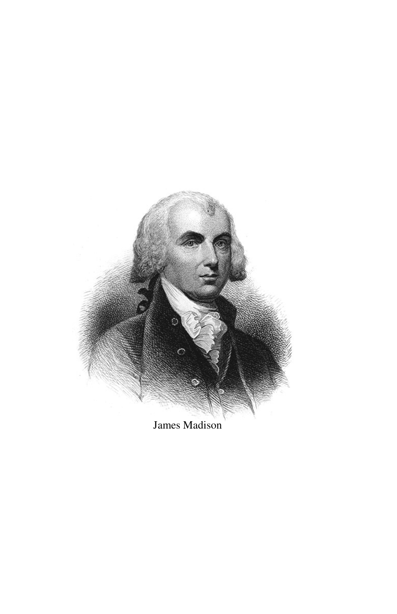

James Madison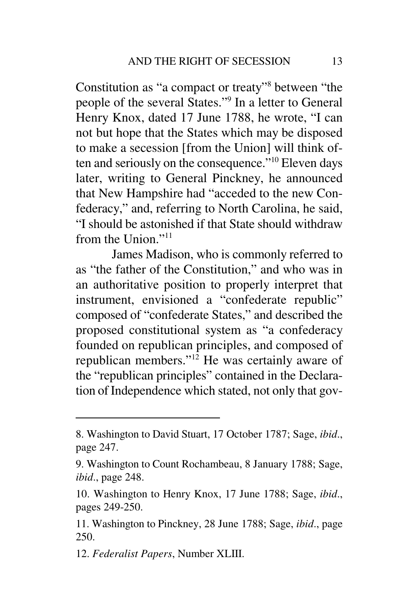Constitution as "a compact or treaty" between "the people of the several States."<sup>9</sup> In a letter to General Henry Knox, dated 17 June 1788, he wrote, "I can not but hope that the States which may be disposed to make a secession [from the Union] will think often and seriously on the consequence."<sup>10</sup> Eleven days later, writing to General Pinckney, he announced that New Hampshire had "acceded to the new Confederacy," and, referring to North Carolina, he said, "I should be astonished if that State should withdraw from the Union."<sup>11</sup>

James Madison, who is commonly referred to as "the father of the Constitution," and who was in an authoritative position to properly interpret that instrument, envisioned a "confederate republic" composed of "confederate States," and described the proposed constitutional system as "a confederacy founded on republican principles, and composed of republican members." $12$  He was certainly aware of the "republican principles" contained in the Declaration of Independence which stated, not only that gov-

12. *Federalist Papers*, Number XLIII.

<sup>8.</sup> Washington to David Stuart, 17 October 1787; Sage, *ibid*., page 247.

<sup>9.</sup> Washington to Count Rochambeau, 8 January 1788; Sage, *ibid*., page 248.

<sup>10.</sup> Washington to Henry Knox, 17 June 1788; Sage, *ibid*., pages 249-250.

<sup>11.</sup> Washington to Pinckney, 28 June 1788; Sage, *ibid*., page 250.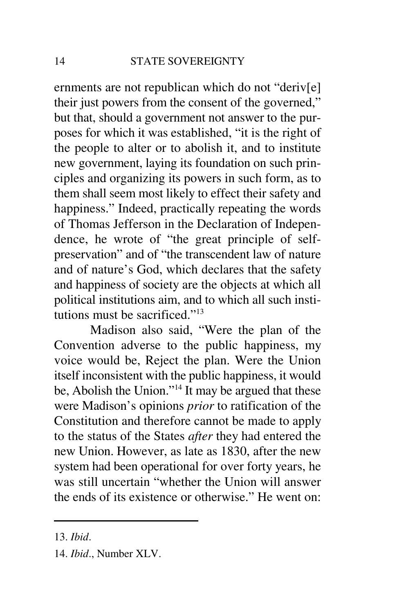ernments are not republican which do not "deriv[e] their just powers from the consent of the governed," but that, should a government not answer to the purposes for which it was established, "it is the right of the people to alter or to abolish it, and to institute new government, laying its foundation on such principles and organizing its powers in such form, as to them shall seem most likely to effect their safety and happiness." Indeed, practically repeating the words of Thomas Jefferson in the Declaration of Independence, he wrote of "the great principle of selfpreservation" and of "the transcendent law of nature and of nature's God, which declares that the safety and happiness of society are the objects at which all political institutions aim, and to which all such institutions must be sacrificed."<sup>13</sup>

Madison also said, "Were the plan of the Convention adverse to the public happiness, my voice would be, Reject the plan. Were the Union itself inconsistent with the public happiness, it would be, Abolish the Union."<sup>14</sup> It may be argued that these were Madison's opinions *prior* to ratification of the Constitution and therefore cannot be made to apply to the status of the States *after* they had entered the new Union. However, as late as 1830, after the new system had been operational for over forty years, he was still uncertain "whether the Union will answer the ends of its existence or otherwise." He went on:

<sup>13.</sup> *Ibid*.

<sup>14.</sup> *Ibid*., Number XLV.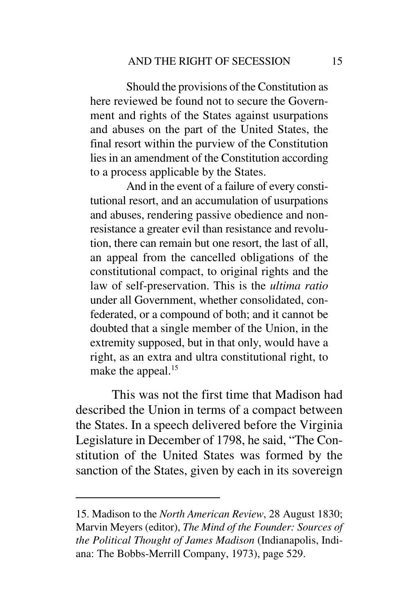Should the provisions of the Constitution as here reviewed be found not to secure the Government and rights of the States against usurpations and abuses on the part of the United States, the final resort within the purview of the Constitution lies in an amendment of the Constitution according to a process applicable by the States.

And in the event of a failure of every constitutional resort, and an accumulation of usurpations and abuses, rendering passive obedience and nonresistance a greater evil than resistance and revolution, there can remain but one resort, the last of all, an appeal from the cancelled obligations of the constitutional compact, to original rights and the law of self-preservation. This is the *ultima ratio* under all Government, whether consolidated, confederated, or a compound of both; and it cannot be doubted that a single member of the Union, in the extremity supposed, but in that only, would have a right, as an extra and ultra constitutional right, to make the appeal.<sup>15</sup>

This was not the first time that Madison had described the Union in terms of a compact between the States. In a speech delivered before the Virginia Legislature in December of 1798, he said, "The Constitution of the United States was formed by the sanction of the States, given by each in its sovereign

<sup>15.</sup> Madison to the *North American Review*, 28 August 1830; Marvin Meyers (editor), *The Mind of the Founder: Sources of the Political Thought of James Madison* (Indianapolis, Indiana: The Bobbs-Merrill Company, 1973), page 529.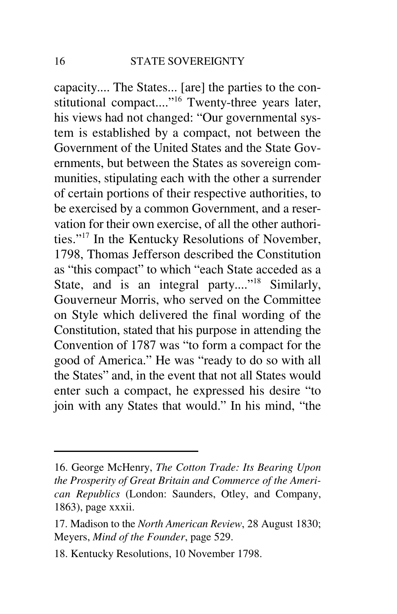capacity.... The States... [are] the parties to the constitutional compact...."<sup>16</sup> Twenty-three years later, his views had not changed: "Our governmental system is established by a compact, not between the Government of the United States and the State Governments, but between the States as sovereign communities, stipulating each with the other a surrender of certain portions of their respective authorities, to be exercised by a common Government, and a reservation for their own exercise, of all the other authorities."<sup>17</sup> In the Kentucky Resolutions of November, 1798, Thomas Jefferson described the Constitution as "this compact" to which "each State acceded as a State, and is an integral party...."<sup>18</sup> Similarly, Gouverneur Morris, who served on the Committee on Style which delivered the final wording of the Constitution, stated that his purpose in attending the Convention of 1787 was "to form a compact for the good of America." He was "ready to do so with all the States" and, in the event that not all States would enter such a compact, he expressed his desire "to join with any States that would." In his mind, "the

<sup>16.</sup> George McHenry, *The Cotton Trade: Its Bearing Upon the Prosperity of Great Britain and Commerce of the American Republics* (London: Saunders, Otley, and Company, 1863), page xxxii.

<sup>17.</sup> Madison to the *North American Review*, 28 August 1830; Meyers, *Mind of the Founder*, page 529.

<sup>18.</sup> Kentucky Resolutions, 10 November 1798.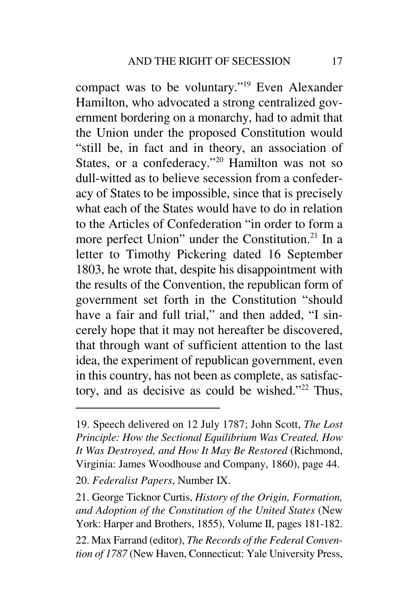compact was to be voluntary."<sup>19</sup> Even Alexander Hamilton, who advocated a strong centralized government bordering on a monarchy, had to admit that the Union under the proposed Constitution would "still be, in fact and in theory, an association of States, or a confederacy."<sup>20</sup> Hamilton was not so dull-witted as to believe secession from a confederacy of States to be impossible, since that is precisely what each of the States would have to do in relation to the Articles of Confederation "in order to form a more perfect Union" under the Constitution.<sup>21</sup> In a letter to Timothy Pickering dated 16 September 1803, he wrote that, despite his disappointment with the results of the Convention, the republican form of government set forth in the Constitution "should have a fair and full trial," and then added, "I sincerely hope that it may not hereafter be discovered, that through want of sufficient attention to the last idea, the experiment of republican government, even in this country, has not been as complete, as satisfactory, and as decisive as could be wished." $22$  Thus,

<sup>19.</sup> Speech delivered on 12 July 1787; John Scott, *The Lost Principle: How the Sectional Equilibrium Was Created, How It Was Destroyed, and How It May Be Restored* (Richmond, Virginia: James Woodhouse and Company, 1860), page 44.

<sup>20.</sup> *Federalist Papers*, Number IX.

<sup>21.</sup> George Ticknor Curtis, *History of the Origin, Formation, and Adoption of the Constitution of the United States* (New York: Harper and Brothers, 1855), Volume II, pages 181-182.

<sup>22.</sup> Max Farrand (editor), *The Records of the Federal Convention of 1787* (New Haven, Connecticut: Yale University Press,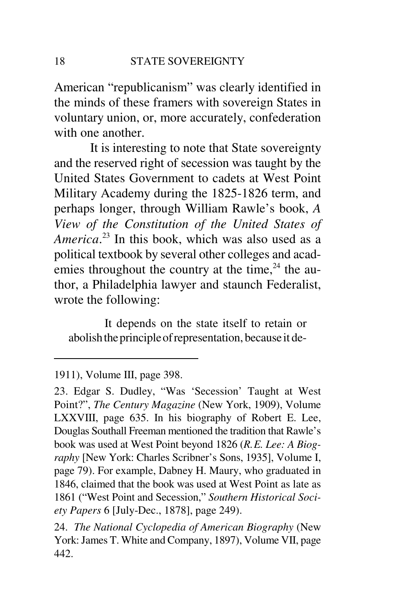American "republicanism" was clearly identified in the minds of these framers with sovereign States in voluntary union, or, more accurately, confederation with one another.

It is interesting to note that State sovereignty and the reserved right of secession was taught by the United States Government to cadets at West Point Military Academy during the 1825-1826 term, and perhaps longer, through William Rawle's book, *A View of the Constitution of the United States of America*.<sup>23</sup> In this book, which was also used as a political textbook by several other colleges and academies throughout the country at the time,  $24$  the author, a Philadelphia lawyer and staunch Federalist, wrote the following:

It depends on the state itself to retain or abolish the principle of representation, because it de-

<sup>1911),</sup> Volume III, page 398.

<sup>23.</sup> Edgar S. Dudley, "Was 'Secession' Taught at West Point?", *The Century Magazine* (New York, 1909), Volume LXXVIII, page 635. In his biography of Robert E. Lee, Douglas Southall Freeman mentioned the tradition that Rawle's book was used at West Point beyond 1826 (*R.E. Lee: A Biography* [New York: Charles Scribner's Sons, 1935], Volume I, page 79). For example, Dabney H. Maury, who graduated in 1846, claimed that the book was used at West Point as late as 1861 ("West Point and Secession," *Southern Historical Society Papers* 6 [July-Dec., 1878], page 249).

<sup>24.</sup> *The National Cyclopedia of American Biography* (New York: James T. White and Company, 1897), Volume VII, page 442.